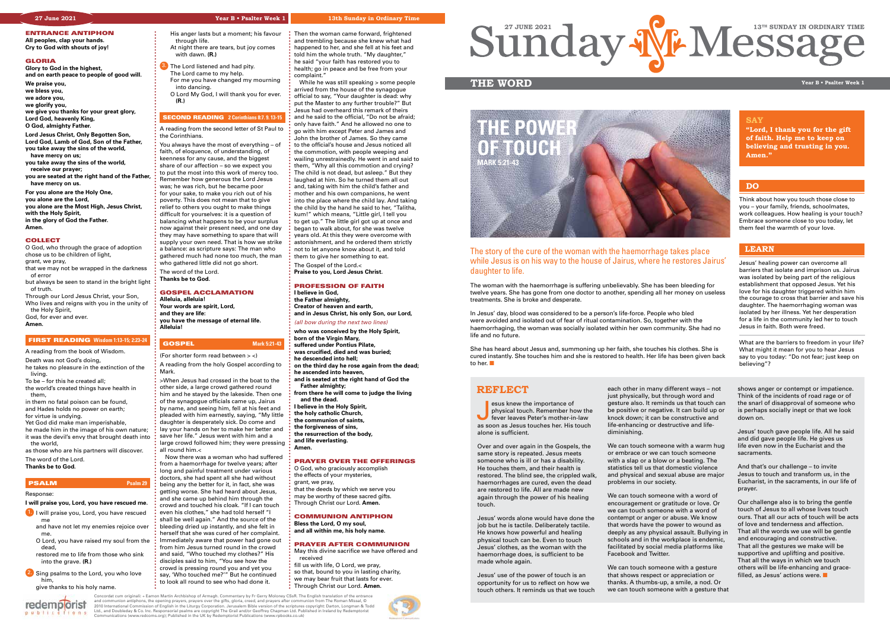### ENTRANCE ANTIPHON

**All peoples, clap your hands. Cry to God with shouts of joy!**

#### GLORIA

**Glory to God in the highest, and on earth peace to people of good will.**

**We praise you,**

**we bless you, we adore you, we glorify you, we give you thanks for your great glory,**

**Lord God, heavenly King, O God, almighty Father.**

**Lord Jesus Christ, Only Begotten Son, Lord God, Lamb of God, Son of the Father,**

**you take away the sins of the world, have mercy on us;**

**you take away the sins of the world, receive our prayer;**

**you are seated at the right hand of the Father, have mercy on us.**

**1.** I will praise you, Lord, you have rescued me

**For you alone are the Holy One, you alone are the Lord, you alone are the Most High, Jesus Christ, with the Holy Spirit, in the glory of God the Father. Amen.**

2. Sing psalms to the Lord, you who love him,

#### COLLECT

O God, who through the grace of adoption chose us to be children of light, grant, we pray,

that we may not be wrapped in the darkness of error

the Corinthians. You always have the most of everything – of faith, of eloquence, of understanding, of keenness for any cause, and the biggest share of our affection – so we expect you to put the most into this work of mercy too. Remember how generous the Lord Jesus was; he was rich, but he became poor for your sake, to make you rich out of his poverty. This does not mean that to give relief to others you ought to make things difficult for yourselves: it is a question of balancing what happens to be your surplus now against their present need, and one day they may have something to spare that will supply your own need. That is how we strike a balance: as scripture says: The man who gathered much had none too much, the man who gathered little did not go short.

but always be seen to stand in the bright light of truth.

Through our Lord Jesus Christ, your Son, Who lives and reigns with you in the unity of

the Holy Spirit, God, for ever and ever.

**Amen.**

#### FIRST READING **Wisdom 1:13-15; 2:23-24**

A reading from the book of Wisdom.

Death was not God's doing,

he takes no pleasure in the extinction of the living.

To be – for this he created all;

the world's created things have health in them,

in them no fatal poison can be found,

and Hades holds no power on earth;

for virtue is undying.

Yet God did make man imperishable,

he made him in the image of his own nature; it was the devil's envy that brought death into the world,

as those who are his partners will discover.

The word of the Lord. **Thanks be to God.** 

Now there was a woman who had suffered from a haemorrhage for twelve years; after long and painful treatment under various doctors, she had spent all she had without being any the better for it, in fact, she was getting worse. She had heard about Jesus, and she came up behind him through the crowd and touched his cloak. "If I can touch even his clothes," she had told herself "I shall be well again." And the source of the bleeding dried up instantly, and she felt in herself that she was cured of her complaint. Immediately aware that power had gone out from him Jesus turned round in the crowd and said, "Who touched my clothes?" His disciples said to him, "You see how the crowd is pressing round you and yet you say, 'Who touched me?'" But he continued to look all round to see who had done it.

## PSALM **Psalm 29** Response:

## **I will praise you, Lord, you have rescued me.**

 and have not let my enemies rejoice over me.

 O Lord, you have raised my soul from the dead,

 restored me to life from those who sink into the grave. **(R.)**

give thanks to his holy name.

 His anger lasts but a moment; his favour through life At night there are tears, but joy comes with dawn. **(R.)** 3. The Lord listened and had pity.

 The Lord came to my help. For me you have changed my mourning into dancing.

 O Lord My God, I will thank you for ever. **(R.)**

## SECOND READING **2 Corinthians 8:7. 9. 13-15** A reading from the second letter of St Paul to

The word of the Lord. **Thanks be to God.**

#### GOSPEL ACCLAMATION

**Alleluia, alleluia! Your words are spirit, Lord, and they are life: you have the message of eternal life. Alleluia!**

## **GOSPEL Mark 5:21-43**

(For shorter form read between > <)

A reading from the holy Gospel according to Mark.

>When Jesus had crossed in the boat to the other side, a large crowd gathered round him and he stayed by the lakeside. Then one of the synagogue officials came up, Jairus by name, and seeing him, fell at his feet and pleaded with him earnestly, saying, "My little daughter is desperately sick. Do come and lay your hands on her to make her better and save her life." Jesus went with him and a large crowd followed him; they were pressing all round him.<

She has heard about Jesus and, summoning up her faith, she touches his clothes. She is cured instantly. She touches him and she is restored to health. Her life has been given back to her.  $\blacksquare$ 

esus knew the importance of physical touch. Remember how the fever leaves Peter's mother-in-law as soon as Jesus touches her. His touch alone is sufficient.

Then the woman came forward, frightened and trembling because she knew what had happened to her, and she fell at his feet and told him the whole truth. "My daughter," he said "your faith has restored you to health; go in peace and be free from your complaint."

> Our challenge also is to bring the gentle touch of Jesus to all whose lives touch ours. That all our acts of touch will be acts of love and tenderness and affection. That all the words we use will be gentle and encouraging and constructive. That all the gestures we make will be supportive and uplifting and positive. That all the ways in which we touch others will be life-enhancing and gracefilled, as Jesus' actions were.  $\blacksquare$

While he was still speaking > some people arrived from the house of the synagogue official to say, "Your daughter is dead: why put the Master to any further trouble?" But Jesus had overheard this remark of theirs and he said to the official, "Do not be afraid; only have faith." And he allowed no one to go with him except Peter and James and John the brother of James. So they came to the official's house and Jesus noticed all the commotion, with people weeping and wailing unrestrainedly. He went in and said to them, "Why all this commotion and crying? The child is not dead, but asleep." But they laughed at him. So he turned them all out and, taking with him the child's father and mother and his own companions, he went into the place where the child lay. And taking the child by the hand he said to her, "Talitha, kum!" which means, "Little girl, I tell you to get up." The little girl got up at once and began to walk about, for she was twelve years old. At this they were overcome with astonishment, and he ordered them strictly not to let anyone know about it, and told them to give her something to eat. The Gospel of the Lord.<

**Praise to you, Lord Jesus Christ.**

#### PROFESSION OF FAITH

**I believe in God, the Father almighty, Creator of heaven and earth, and in Jesus Christ, his only Son, our Lord,**

#### *(all bow during the next two lines)*

**who was conceived by the Holy Spirit, born of the Virgin Mary, suffered under Pontius Pilate, was crucified, died and was buried; he descended into hell; on the third day he rose again from the dead; he ascended into heaven, and is seated at the right hand of God the Father almighty; from there he will come to judge the living and the dead.**

**I believe in the Holy Spirit, the holy catholic Church, the communion of saints,**

**the forgiveness of sins,**

**the resurrection of the body,**

**and life everlasting. Amen.**

## PRAYER OVER THE OFFERINGS

O God, who graciously accomplish the effects of your mysteries, grant, we pray, that the deeds by which we serve you may be worthy of these sacred gifts. Through Christ our Lord. **Amen.**

#### COMMUNION ANTIPHON **Bless the Lord, O my soul,**

## **and all within me, his holy name.**

## PRAYER AFTER COMMUNION

May this divine sacrifice we have offered and received

fill us with life, O Lord, we pray, so that, bound to you in lasting charity, we may bear fruit that lasts for ever. Through Christ our Lord. **Amen.**

#### **27 June 2021 Year B • Psalter Week 1 13th Sunday in Ordinary Time**



## **THE WORD** *Year B • Psalter Week 1*

The story of the cure of the woman with the haemorrhage takes place while Jesus is on his way to the house of Jairus, where he restores Jairus' daughter to life.

The woman with the haemorrhage is suffering unbelievably. She has been bleeding for twelve years. She has gone from one doctor to another, spending all her money on useless treatments. She is broke and desperate.

In Jesus' day, blood was considered to be a person's life-force. People who bled were avoided and isolated out of fear of ritual contamination. So, together with the haemorrhaging, the woman was socially isolated within her own community. She had no life and no future.

## **SAY**

**"Lord, I thank you for the gift of faith. Help me to keep on believing and trusting in you. Amen."**

Think about how you touch those close to you – your family, friends, schoolmates, work colleagues. How healing is your touch? Embrace someone close to you today, let them feel the warmth of your love.

## **DO**



Over and over again in the Gospels, the same story is repeated. Jesus meets someone who is ill or has a disability. He touches them, and their health is restored. The blind see, the crippled walk, haemorrhages are cured, even the dead are restored to life. All are made new again through the power of his healing touch.

Jesus' words alone would have done the job but he is tactile. Deliberately tactile. He knows how powerful and healing physical touch can be. Even to touch Jesus' clothes, as the woman with the haemorrhage does, is sufficient to be made whole again.

Jesus' use of the power of touch is an opportunity for us to reflect on how we touch others. It reminds us that we touch

each other in many different ways – not just physically, but through word and gesture also. It reminds us that touch can be positive or negative. It can build up or knock down; it can be constructive and life-enhancing or destructive and lifediminishing.

We can touch someone with a warm hug or embrace or we can touch someone with a slap or a blow or a beating. The statistics tell us that domestic violence and physical and sexual abuse are major problems in our society.

We can touch someone with a word of

encouragement or gratitude or love. Or we can touch someone with a word of contempt or anger or abuse. We know that words have the power to wound as deeply as any physical assault. Bullying in schools and in the workplace is endemic, facilitated by social media platforms like Facebook and Twitter.

We can touch someone with a gesture that shows respect or appreciation or thanks. A thumbs-up, a smile, a nod. Or we can touch someone with a gesture that

Concordat cum originali: + Eamon Martin Archbishop of Armagh. Commentary by Fr Gerry Moloney CSsR. The English translation of the entrance and communion antiphons, the opening prayers, prayers over the gifts, gloria, creed, and prayers after communion from The Roman Missal, ©<br>2010 International Commission of English in the Liturgy Corporation. Jerusalem Bible





shows anger or contempt or impatience. Think of the incidents of road rage or of the snarl of disapproval of someone who is perhaps socially inept or that we look down on.

Jesus' touch gave people life. All he said and did gave people life. He gives us life even now in the Eucharist and the sacraments.

And that's our challenge – to invite Jesus to touch and transform us, in the Eucharist, in the sacraments, in our life of prayer.

## **REFLECT**

Jesus' healing power can overcome all barriers that isolate and imprison us. Jairus was isolated by being part of the religious establishment that opposed Jesus. Yet his love for his daughter triggered within him the courage to cross that barrier and save his daughter. The haemorrhaging woman was isolated by her illness. Yet her desperation for a life in the community led her to touch Jesus in faith. Both were freed.

What are the barriers to freedom in your life? What might it mean for you to hear Jesus say to you today: "Do not fear; just keep on believing"?

## **LEARN**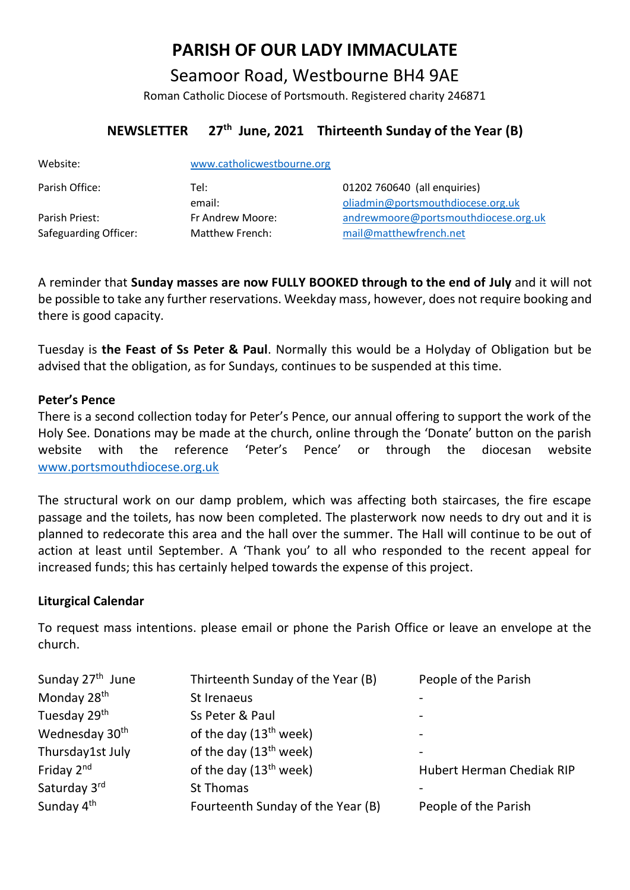# **PARISH OF OUR LADY IMMACULATE**

Seamoor Road, Westbourne BH4 9AE

Roman Catholic Diocese of Portsmouth. Registered charity 246871

## **NEWSLETTER 27th June, 2021 Thirteenth Sunday of the Year (B)**

| Website:              | www.catholicwestbourne.org |                                      |
|-----------------------|----------------------------|--------------------------------------|
| Parish Office:        | Tel:                       | 01202 760640 (all enquiries)         |
|                       | email:                     | oliadmin@portsmouthdiocese.org.uk    |
| Parish Priest:        | Fr Andrew Moore:           | andrewmoore@portsmouthdiocese.org.uk |
| Safeguarding Officer: | Matthew French:            | mail@matthewfrench.net               |

A reminder that **Sunday masses are now FULLY BOOKED through to the end of July** and it will not be possible to take any further reservations. Weekday mass, however, does not require booking and there is good capacity.

Tuesday is **the Feast of Ss Peter & Paul**. Normally this would be a Holyday of Obligation but be advised that the obligation, as for Sundays, continues to be suspended at this time.

## **Peter's Pence**

There is a second collection today for Peter's Pence, our annual offering to support the work of the Holy See. Donations may be made at the church, online through the 'Donate' button on the parish website with the reference 'Peter's Pence' or through the diocesan website [www.portsmouthdiocese.org.uk](http://www.portsmouthdiocese.org.uk/)

The structural work on our damp problem, which was affecting both staircases, the fire escape passage and the toilets, has now been completed. The plasterwork now needs to dry out and it is planned to redecorate this area and the hall over the summer. The Hall will continue to be out of action at least until September. A 'Thank you' to all who responded to the recent appeal for increased funds; this has certainly helped towards the expense of this project.

## **Liturgical Calendar**

To request mass intentions. please email or phone the Parish Office or leave an envelope at the church.

| Sunday 27 <sup>th</sup> June | Thirteenth Sunday of the Year (B)  | People of the Parish             |
|------------------------------|------------------------------------|----------------------------------|
| Monday 28 <sup>th</sup>      | St Irenaeus                        |                                  |
| Tuesday 29 <sup>th</sup>     | Ss Peter & Paul                    |                                  |
| Wednesday 30 <sup>th</sup>   | of the day (13 <sup>th</sup> week) | $\overline{\phantom{a}}$         |
| Thursday1st July             | of the day (13 <sup>th</sup> week) |                                  |
| Friday 2 <sup>nd</sup>       | of the day (13 <sup>th</sup> week) | <b>Hubert Herman Chediak RIP</b> |
| Saturday 3rd                 | <b>St Thomas</b>                   |                                  |
| Sunday 4 <sup>th</sup>       | Fourteenth Sunday of the Year (B)  | People of the Parish             |